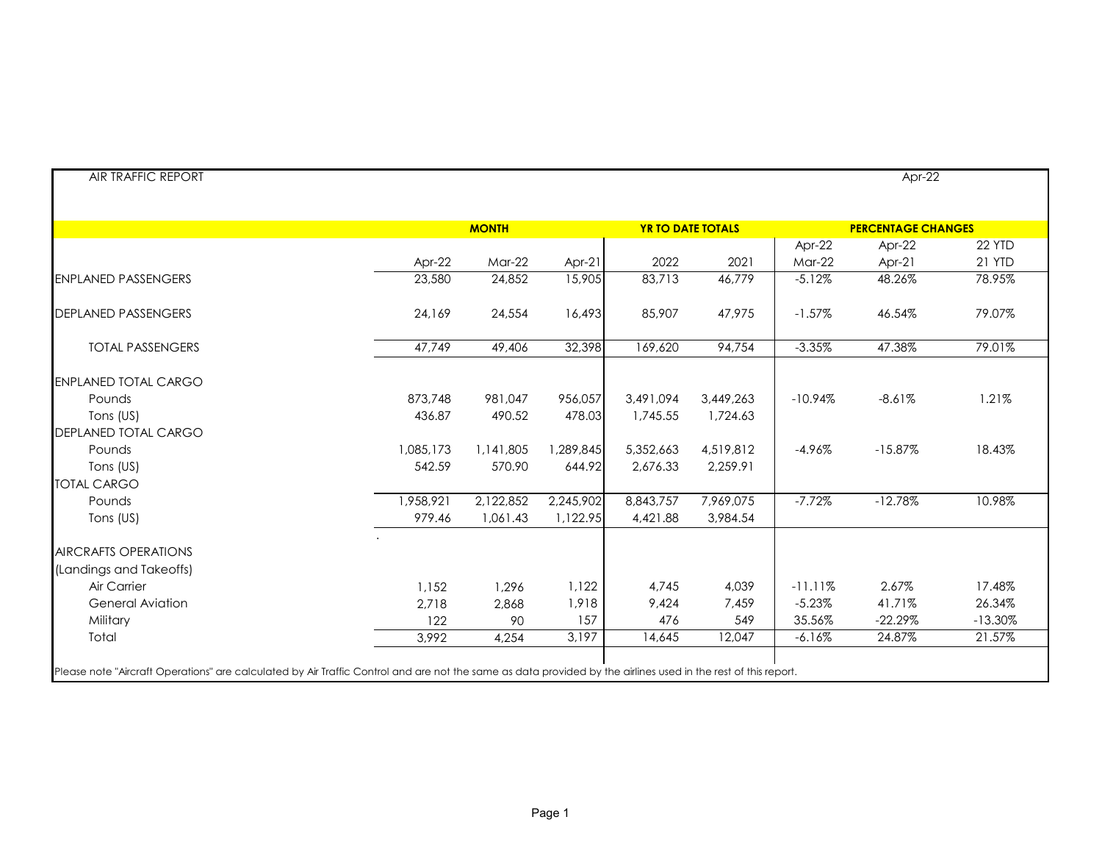|                             | <b>MONTH</b> |           |           | <b>YR TO DATE TOTALS</b> |           | <b>PERCENTAGE CHANGES</b> |           |               |  |
|-----------------------------|--------------|-----------|-----------|--------------------------|-----------|---------------------------|-----------|---------------|--|
|                             |              |           |           |                          |           | Apr-22                    | Apr-22    | 22 YTD        |  |
|                             | Apr-22       | $Mar-22$  | Apr-21    | 2022                     | 2021      | $Mar-22$                  | Apr-21    | <b>21 YTD</b> |  |
| <b>ENPLANED PASSENGERS</b>  | 23,580       | 24,852    | 15,905    | 83,713                   | 46,779    | $-5.12%$                  | 48.26%    | 78.95%        |  |
| <b>DEPLANED PASSENGERS</b>  | 24,169       | 24,554    | 16,493    | 85,907                   | 47,975    | $-1.57%$                  | 46.54%    | 79.07%        |  |
| <b>TOTAL PASSENGERS</b>     | 47,749       | 49,406    | 32,398    | 169,620                  | 94,754    | $-3.35%$                  | 47.38%    | 79.01%        |  |
| <b>ENPLANED TOTAL CARGO</b> |              |           |           |                          |           |                           |           |               |  |
| Pounds                      | 873,748      | 981,047   | 956,057   | 3,491,094                | 3,449,263 | $-10.94%$                 | $-8.61%$  | 1.21%         |  |
| Tons (US)                   | 436.87       | 490.52    | 478.03    | 1,745.55                 | 1,724.63  |                           |           |               |  |
| DEPLANED TOTAL CARGO        |              |           |           |                          |           |                           |           |               |  |
| Pounds                      | 1,085,173    | 1,141,805 | 1,289,845 | 5,352,663                | 4,519,812 | $-4.96%$                  | $-15.87%$ | 18.43%        |  |
| Tons (US)                   | 542.59       | 570.90    | 644.92    | 2,676.33                 | 2,259.91  |                           |           |               |  |
| <b>TOTAL CARGO</b>          |              |           |           |                          |           |                           |           |               |  |
| Pounds                      | 1,958,921    | 2,122,852 | 2,245,902 | 8,843,757                | 7,969,075 | $-7.72%$                  | $-12.78%$ | 10.98%        |  |
| Tons (US)                   | 979.46       | 1,061.43  | 1,122.95  | 4,421.88                 | 3,984.54  |                           |           |               |  |
| <b>AIRCRAFTS OPERATIONS</b> |              |           |           |                          |           |                           |           |               |  |
| (Landings and Takeoffs)     |              |           |           |                          |           |                           |           |               |  |
| Air Carrier                 | 1,152        | 1,296     | 1,122     | 4,745                    | 4,039     | $-11.11%$                 | 2.67%     | 17.48%        |  |
| <b>General Aviation</b>     | 2,718        | 2,868     | 1,918     | 9,424                    | 7,459     | $-5.23%$                  | 41.71%    | 26.34%        |  |
| Military                    | 122          | 90        | 157       | 476                      | 549       | 35.56%                    | $-22.29%$ | $-13.30%$     |  |
| Total                       | 3,992        | 4,254     | 3,197     | 14,645                   | 12,047    | $-6.16%$                  | 24.87%    | 21.57%        |  |